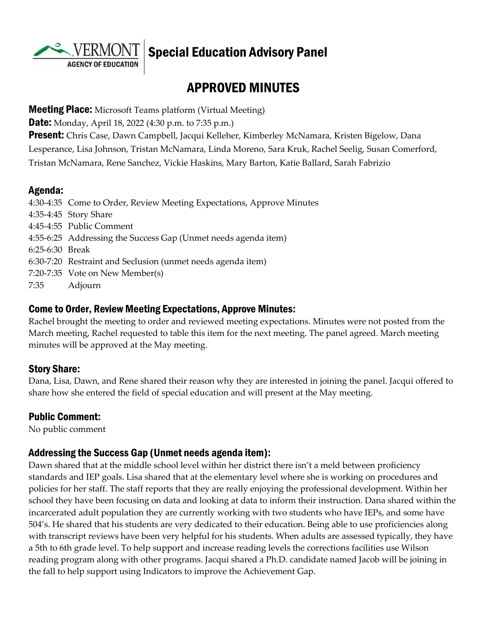**AGENCY OF EDUCATION** 

# Special Education Advisory Panel

# APPROVED MINUTES

**Meeting Place:** Microsoft Teams platform (Virtual Meeting)

**Date:** Monday, April 18, 2022 (4:30 p.m. to 7:35 p.m.)

**Present:** Chris Case, Dawn Campbell, Jacqui Kelleher, Kimberley McNamara, Kristen Bigelow, Dana Lesperance, Lisa Johnson, Tristan McNamara, Linda Moreno, Sara Kruk, Rachel Seelig, Susan Comerford, Tristan McNamara, Rene Sanchez, Vickie Haskins, Mary Barton, Katie Ballard, Sarah Fabrizio

#### Agenda:

4:30-4:35 Come to Order, Review Meeting Expectations, Approve Minutes 4:35-4:45 Story Share 4:45-4:55 Public Comment 4:55-6:25 Addressing the Success Gap (Unmet needs agenda item) 6:25-6:30 Break 6:30-7:20 Restraint and Seclusion (unmet needs agenda item) 7:20-7:35 Vote on New Member(s) 7:35 Adjourn

#### Come to Order, Review Meeting Expectations, Approve Minutes:

Rachel brought the meeting to order and reviewed meeting expectations. Minutes were not posted from the March meeting, Rachel requested to table this item for the next meeting. The panel agreed. March meeting minutes will be approved at the May meeting.

#### Story Share:

Dana, Lisa, Dawn, and Rene shared their reason why they are interested in joining the panel. Jacqui offered to share how she entered the field of special education and will present at the May meeting.

#### Public Comment:

No public comment

#### Addressing the Success Gap (Unmet needs agenda item):

Dawn shared that at the middle school level within her district there isn't a meld between proficiency standards and IEP goals. Lisa shared that at the elementary level where she is working on procedures and policies for her staff. The staff reports that they are really enjoying the professional development. Within her school they have been focusing on data and looking at data to inform their instruction. Dana shared within the incarcerated adult population they are currently working with two students who have IEPs, and some have 504's. He shared that his students are very dedicated to their education. Being able to use proficiencies along with transcript reviews have been very helpful for his students. When adults are assessed typically, they have a 5th to 6th grade level. To help support and increase reading levels the corrections facilities use Wilson reading program along with other programs. Jacqui shared a Ph.D. candidate named Jacob will be joining in the fall to help support using Indicators to improve the Achievement Gap.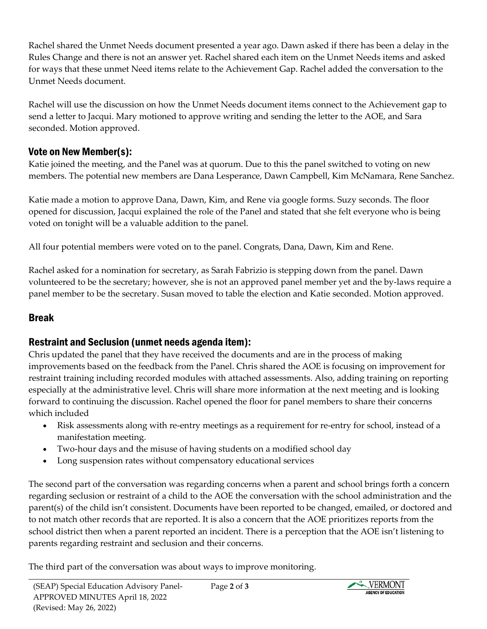Rachel shared the Unmet Needs document presented a year ago. Dawn asked if there has been a delay in the Rules Change and there is not an answer yet. Rachel shared each item on the Unmet Needs items and asked for ways that these unmet Need items relate to the Achievement Gap. Rachel added the conversation to the Unmet Needs document.

Rachel will use the discussion on how the Unmet Needs document items connect to the Achievement gap to send a letter to Jacqui. Mary motioned to approve writing and sending the letter to the AOE, and Sara seconded. Motion approved.

### Vote on New Member(s):

Katie joined the meeting, and the Panel was at quorum. Due to this the panel switched to voting on new members. The potential new members are Dana Lesperance, Dawn Campbell, Kim McNamara, Rene Sanchez.

Katie made a motion to approve Dana, Dawn, Kim, and Rene via google forms. Suzy seconds. The floor opened for discussion, Jacqui explained the role of the Panel and stated that she felt everyone who is being voted on tonight will be a valuable addition to the panel.

All four potential members were voted on to the panel. Congrats, Dana, Dawn, Kim and Rene.

Rachel asked for a nomination for secretary, as Sarah Fabrizio is stepping down from the panel. Dawn volunteered to be the secretary; however, she is not an approved panel member yet and the by-laws require a panel member to be the secretary. Susan moved to table the election and Katie seconded. Motion approved.

## Break

## Restraint and Seclusion (unmet needs agenda item):

Chris updated the panel that they have received the documents and are in the process of making improvements based on the feedback from the Panel. Chris shared the AOE is focusing on improvement for restraint training including recorded modules with attached assessments. Also, adding training on reporting especially at the administrative level. Chris will share more information at the next meeting and is looking forward to continuing the discussion. Rachel opened the floor for panel members to share their concerns which included

- Risk assessments along with re-entry meetings as a requirement for re-entry for school, instead of a manifestation meeting.
- Two-hour days and the misuse of having students on a modified school day
- Long suspension rates without compensatory educational services

The second part of the conversation was regarding concerns when a parent and school brings forth a concern regarding seclusion or restraint of a child to the AOE the conversation with the school administration and the parent(s) of the child isn't consistent. Documents have been reported to be changed, emailed, or doctored and to not match other records that are reported. It is also a concern that the AOE prioritizes reports from the school district then when a parent reported an incident. There is a perception that the AOE isn't listening to parents regarding restraint and seclusion and their concerns.

The third part of the conversation was about ways to improve monitoring.